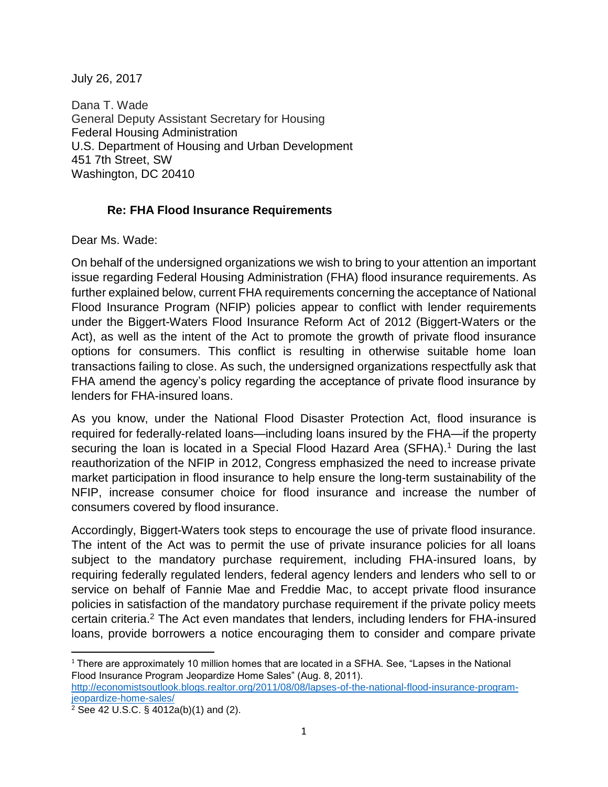July 26, 2017

Dana T. Wade General Deputy Assistant Secretary for Housing Federal Housing Administration U.S. Department of Housing and Urban Development 451 7th Street, SW Washington, DC 20410

## **Re: FHA Flood Insurance Requirements**

Dear Ms. Wade:

On behalf of the undersigned organizations we wish to bring to your attention an important issue regarding Federal Housing Administration (FHA) flood insurance requirements. As further explained below, current FHA requirements concerning the acceptance of National Flood Insurance Program (NFIP) policies appear to conflict with lender requirements under the Biggert-Waters Flood Insurance Reform Act of 2012 (Biggert-Waters or the Act), as well as the intent of the Act to promote the growth of private flood insurance options for consumers. This conflict is resulting in otherwise suitable home loan transactions failing to close. As such, the undersigned organizations respectfully ask that FHA amend the agency's policy regarding the acceptance of private flood insurance by lenders for FHA-insured loans.

As you know, under the National Flood Disaster Protection Act, flood insurance is required for federally-related loans—including loans insured by the FHA—if the property securing the loan is located in a Special Flood Hazard Area (SFHA).<sup>1</sup> During the last reauthorization of the NFIP in 2012, Congress emphasized the need to increase private market participation in flood insurance to help ensure the long-term sustainability of the NFIP, increase consumer choice for flood insurance and increase the number of consumers covered by flood insurance.

Accordingly, Biggert-Waters took steps to encourage the use of private flood insurance. The intent of the Act was to permit the use of private insurance policies for all loans subject to the mandatory purchase requirement, including FHA-insured loans, by requiring federally regulated lenders, federal agency lenders and lenders who sell to or service on behalf of Fannie Mae and Freddie Mac, to accept private flood insurance policies in satisfaction of the mandatory purchase requirement if the private policy meets certain criteria.<sup>2</sup> The Act even mandates that lenders, including lenders for FHA-insured loans, provide borrowers a notice encouraging them to consider and compare private

 $\overline{a}$ <sup>1</sup> There are approximately 10 million homes that are located in a SFHA. See, "Lapses in the National Flood Insurance Program Jeopardize Home Sales" (Aug. 8, 2011).

[http://economistsoutlook.blogs.realtor.org/2011/08/08/lapses-of-the-national-flood-insurance-program](http://economistsoutlook.blogs.realtor.org/2011/08/08/lapses-of-the-national-flood-insurance-program-jeopardize-home-sales/)[jeopardize-home-sales/](http://economistsoutlook.blogs.realtor.org/2011/08/08/lapses-of-the-national-flood-insurance-program-jeopardize-home-sales/)

 $2$  See 42 U.S.C. § 4012a(b)(1) and (2).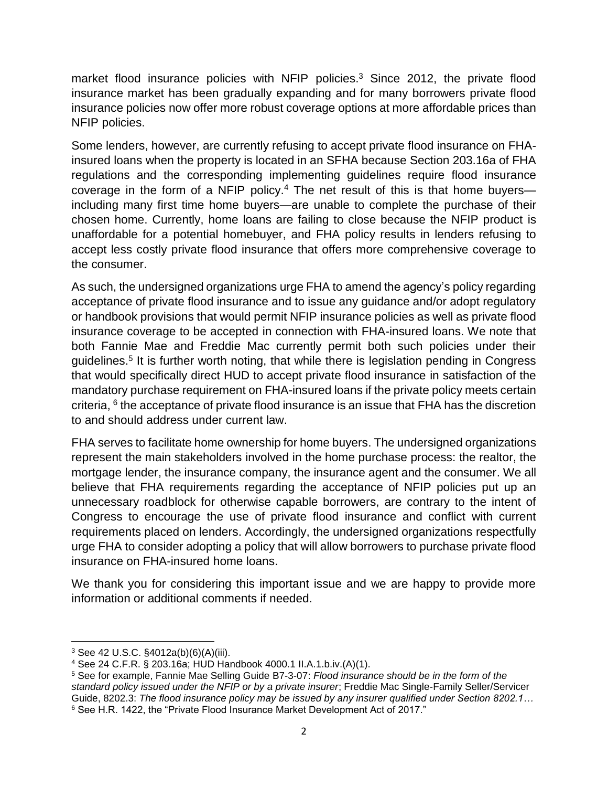market flood insurance policies with NFIP policies.<sup>3</sup> Since 2012, the private flood insurance market has been gradually expanding and for many borrowers private flood insurance policies now offer more robust coverage options at more affordable prices than NFIP policies.

Some lenders, however, are currently refusing to accept private flood insurance on FHAinsured loans when the property is located in an SFHA because Section 203.16a of FHA regulations and the corresponding implementing guidelines require flood insurance coverage in the form of a NFIP policy.<sup>4</sup> The net result of this is that home buyers including many first time home buyers—are unable to complete the purchase of their chosen home. Currently, home loans are failing to close because the NFIP product is unaffordable for a potential homebuyer, and FHA policy results in lenders refusing to accept less costly private flood insurance that offers more comprehensive coverage to the consumer.

As such, the undersigned organizations urge FHA to amend the agency's policy regarding acceptance of private flood insurance and to issue any guidance and/or adopt regulatory or handbook provisions that would permit NFIP insurance policies as well as private flood insurance coverage to be accepted in connection with FHA-insured loans. We note that both Fannie Mae and Freddie Mac currently permit both such policies under their guidelines.<sup>5</sup> It is further worth noting, that while there is legislation pending in Congress that would specifically direct HUD to accept private flood insurance in satisfaction of the mandatory purchase requirement on FHA-insured loans if the private policy meets certain criteria, <sup>6</sup> the acceptance of private flood insurance is an issue that FHA has the discretion to and should address under current law.

FHA serves to facilitate home ownership for home buyers. The undersigned organizations represent the main stakeholders involved in the home purchase process: the realtor, the mortgage lender, the insurance company, the insurance agent and the consumer. We all believe that FHA requirements regarding the acceptance of NFIP policies put up an unnecessary roadblock for otherwise capable borrowers, are contrary to the intent of Congress to encourage the use of private flood insurance and conflict with current requirements placed on lenders. Accordingly, the undersigned organizations respectfully urge FHA to consider adopting a policy that will allow borrowers to purchase private flood insurance on FHA-insured home loans.

We thank you for considering this important issue and we are happy to provide more information or additional comments if needed.

l <sup>3</sup> See 42 U.S.C. §4012a(b)(6)(A)(iii).

<sup>4</sup> See 24 C.F.R. § 203.16a; HUD Handbook 4000.1 II.A.1.b.iv.(A)(1).

<sup>5</sup> See for example, Fannie Mae Selling Guide B7-3-07: *Flood insurance should be in the form of the standard policy issued under the NFIP or by a private insurer*; Freddie Mac Single-Family Seller/Servicer Guide, 8202.3: *The flood insurance policy may be issued by any insurer qualified under Section 8202.1…* <sup>6</sup> See H.R. 1422, the "Private Flood Insurance Market Development Act of 2017."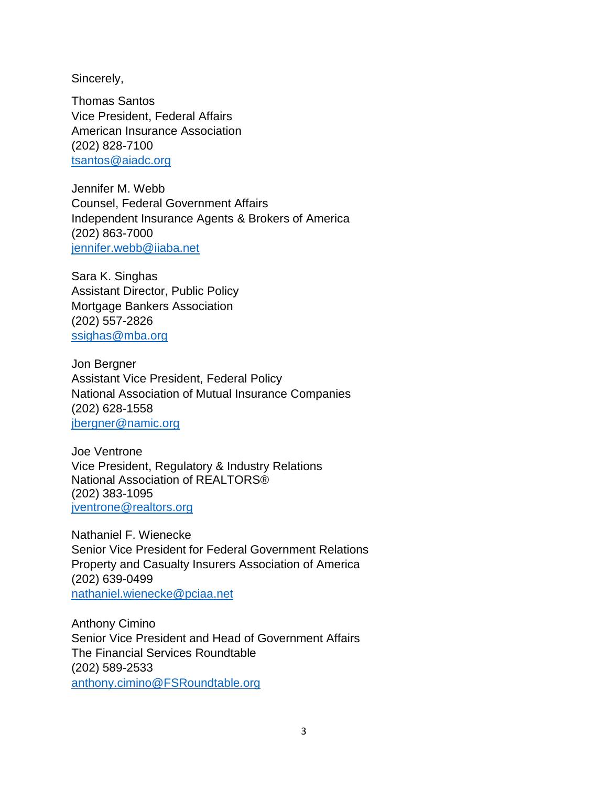Sincerely,

Thomas Santos Vice President, Federal Affairs American Insurance Association (202) 828-7100 [tsantos@aiadc.org](mailto:tsantos@aiadc.org) 

Jennifer M. Webb Counsel, Federal Government Affairs Independent Insurance Agents & Brokers of America (202) 863-7000 [jennifer.webb@iiaba.net](mailto:jennifer.webb@iiaba.net)

Sara K. Singhas Assistant Director, Public Policy Mortgage Bankers Association (202) 557-2826 [ssighas@mba.org](mailto:ssighas@mba.org)

Jon Bergner Assistant Vice President, Federal Policy National Association of Mutual Insurance Companies (202) 628-1558 [jbergner@namic.org](mailto:jbergner@namic.org)

Joe Ventrone Vice President, Regulatory & Industry Relations National Association of REALTORS® (202) 383-1095 [jventrone@realtors.org](mailto:jventrone@realtors.org)

Nathaniel F. Wienecke Senior Vice President for Federal Government Relations Property and Casualty Insurers Association of America (202) 639-0499 [nathaniel.wienecke@pciaa.net](mailto:nathaniel.wienecke@pciaa.net)

Anthony Cimino Senior Vice President and Head of Government Affairs The Financial Services Roundtable (202) 589-2533 [anthony.cimino@FSRoundtable.org](mailto:anthony.cimino@FSRoundtable.org)